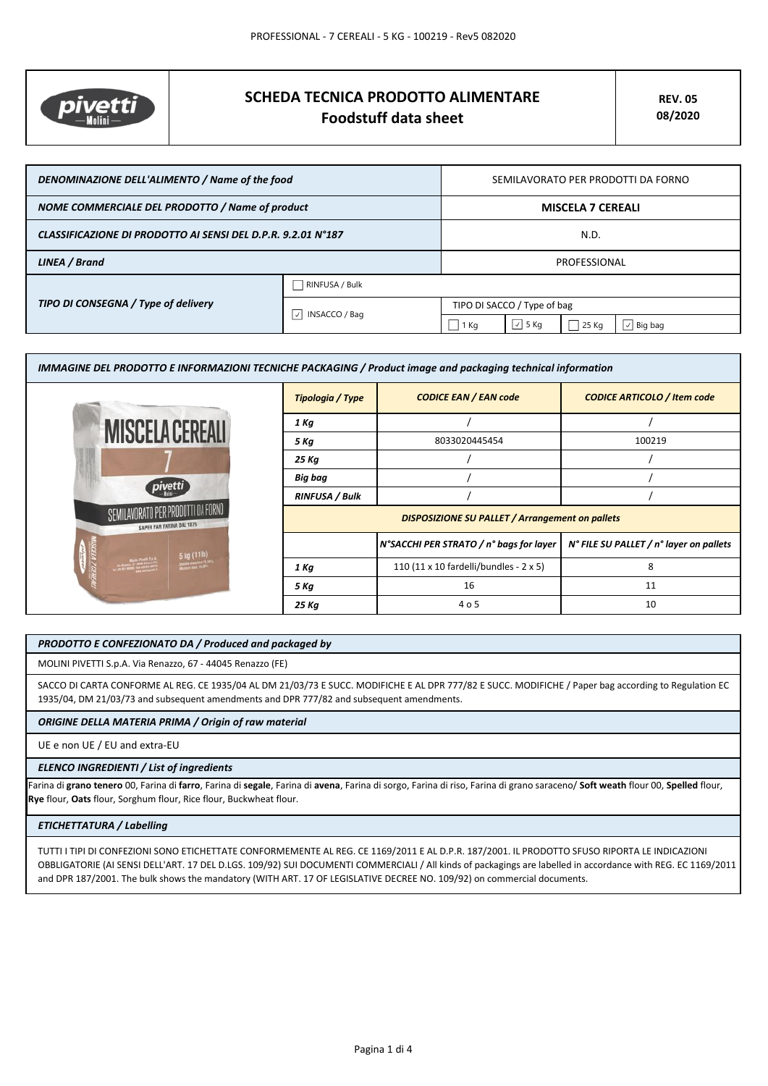

# **SCHEDA TECNICA PRODOTTO ALIMENTARE Foodstuff data sheet**

| DENOMINAZIONE DELL'ALIMENTO / Name of the food               |                                            | SEMILAVORATO PER PRODOTTI DA FORNO |               |       |                |
|--------------------------------------------------------------|--------------------------------------------|------------------------------------|---------------|-------|----------------|
| NOME COMMERCIALE DEL PRODOTTO / Name of product              |                                            | <b>MISCELA 7 CEREALI</b>           |               |       |                |
| CLASSIFICAZIONE DI PRODOTTO AI SENSI DEL D.P.R. 9.2.01 N°187 |                                            | N.D.                               |               |       |                |
| LINEA / Brand                                                |                                            | PROFESSIONAL                       |               |       |                |
| TIPO DI CONSEGNA / Type of delivery                          | RINFUSA / Bulk                             |                                    |               |       |                |
|                                                              | $\vert \vee \vert$<br><b>INSACCO / Bag</b> | TIPO DI SACCO / Type of bag        |               |       |                |
|                                                              |                                            | $1$ Kg                             | $\sqrt{5}$ Kg | 25 Kg | $\vee$ Big bag |

| IMMAGINE DEL PRODOTTO E INFORMAZIONI TECNICHE PACKAGING / Product image and packaging technical information               |                                                        |                                         |                                         |
|---------------------------------------------------------------------------------------------------------------------------|--------------------------------------------------------|-----------------------------------------|-----------------------------------------|
|                                                                                                                           | Tipologia / Type                                       | <b>CODICE EAN / EAN code</b>            | <b>CODICE ARTICOLO / Item code</b>      |
| <b>MISCELA CEREALL</b>                                                                                                    | 1 Kg                                                   |                                         |                                         |
|                                                                                                                           | 5 Kg                                                   | 8033020445454                           | 100219                                  |
|                                                                                                                           | 25 Kg                                                  |                                         |                                         |
|                                                                                                                           | Big bag                                                |                                         |                                         |
|                                                                                                                           | <b>RINFUSA / Bulk</b>                                  |                                         |                                         |
| SEMILAVORATO PER PRODOTTI DA FORNO<br>SAPER FAR FARINA DAL 1875                                                           | <b>DISPOSIZIONE SU PALLET / Arrangement on pallets</b> |                                         |                                         |
| 5 kg (11lb)                                                                                                               |                                                        | N°SACCHI PER STRATO / n° bags for layer | N° FILE SU PALLET / n° layer on pallets |
| <b>Hart Ford State</b><br>Press of Additional Property<br>President Press of Additional Property<br>Double Passages 14.00 | 1 Kg                                                   | 110 (11 x 10 fardelli/bundles - 2 x 5)  | 8                                       |
|                                                                                                                           | 5 Kg                                                   | 16                                      | 11                                      |
|                                                                                                                           | 25 Kg                                                  | 4 o 5                                   | 10                                      |

#### *PRODOTTO E CONFEZIONATO DA / Produced and packaged by*

MOLINI PIVETTI S.p.A. Via Renazzo, 67 - 44045 Renazzo (FE)

SACCO DI CARTA CONFORME AL REG. CE 1935/04 AL DM 21/03/73 E SUCC. MODIFICHE E AL DPR 777/82 E SUCC. MODIFICHE / Paper bag according to Regulation EC 1935/04, DM 21/03/73 and subsequent amendments and DPR 777/82 and subsequent amendments.

### *ORIGINE DELLA MATERIA PRIMA / Origin of raw material*

UE e non UE / EU and extra-EU

### *ELENCO INGREDIENTI / List of ingredients*

Farina di **grano tenero** 00, Farina di **farro**, Farina di **segale**, Farina di **avena**, Farina di sorgo, Farina di riso, Farina di grano saraceno/ **Soft weath** flour 00, **Spelled** flour, **Rye** flour, **Oats** flour, Sorghum flour, Rice flour, Buckwheat flour.

### *ETICHETTATURA / Labelling*

TUTTI I TIPI DI CONFEZIONI SONO ETICHETTATE CONFORMEMENTE AL REG. CE 1169/2011 E AL D.P.R. 187/2001. IL PRODOTTO SFUSO RIPORTA LE INDICAZIONI OBBLIGATORIE (AI SENSI DELL'ART. 17 DEL D.LGS. 109/92) SUI DOCUMENTI COMMERCIALI / All kinds of packagings are labelled in accordance with REG. EC 1169/2011 and DPR 187/2001. The bulk shows the mandatory (WITH ART. 17 OF LEGISLATIVE DECREE NO. 109/92) on commercial documents.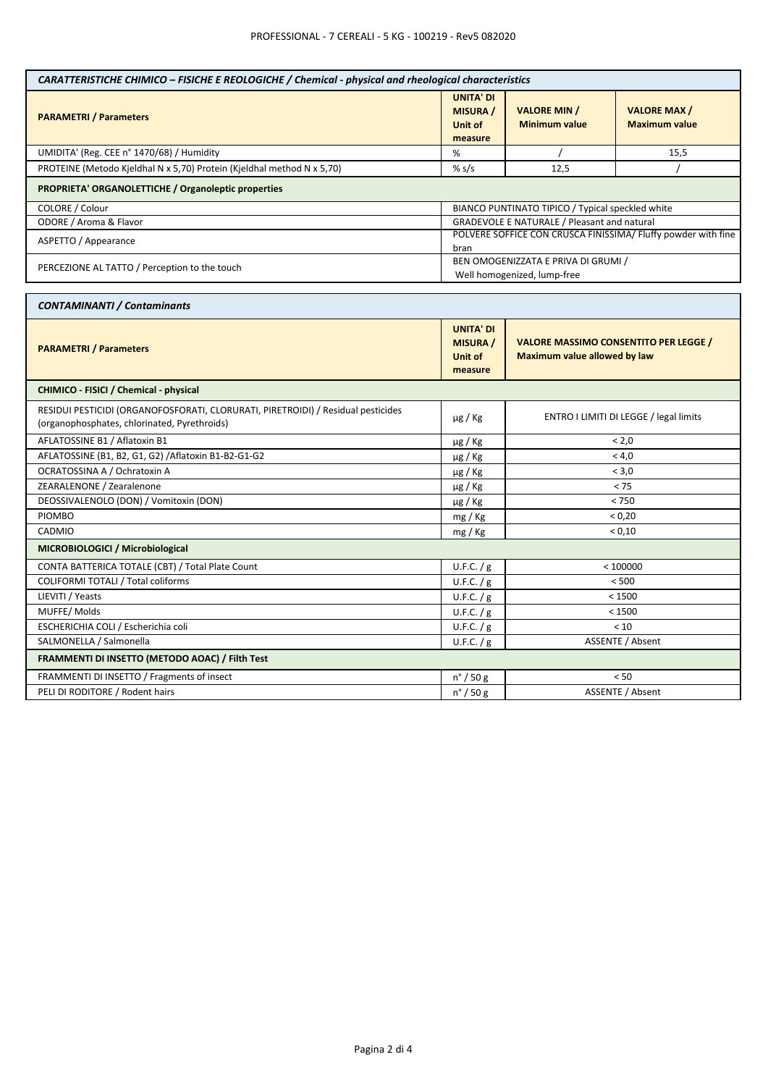| CARATTERISTICHE CHIMICO – FISICHE E REOLOGICHE / Chemical - physical and rheological characteristics                             |                                                                  |                                                                              |                                            |  |
|----------------------------------------------------------------------------------------------------------------------------------|------------------------------------------------------------------|------------------------------------------------------------------------------|--------------------------------------------|--|
| <b>PARAMETRI / Parameters</b>                                                                                                    | <b>UNITA' DI</b><br><b>MISURA /</b><br><b>Unit of</b><br>measure | <b>VALORE MIN /</b><br><b>Minimum value</b>                                  | <b>VALORE MAX/</b><br><b>Maximum value</b> |  |
| UMIDITA' (Reg. CEE n° 1470/68) / Humidity                                                                                        | %                                                                |                                                                              | 15,5                                       |  |
| PROTEINE (Metodo Kjeldhal N x 5,70) Protein (Kjeldhal method N x 5,70)                                                           | % $s/s$                                                          | 12.5                                                                         |                                            |  |
| PROPRIETA' ORGANOLETTICHE / Organoleptic properties                                                                              |                                                                  |                                                                              |                                            |  |
| COLORE / Colour                                                                                                                  | BIANCO PUNTINATO TIPICO / Typical speckled white                 |                                                                              |                                            |  |
| ODORE / Aroma & Flavor                                                                                                           |                                                                  | <b>GRADEVOLE E NATURALE / Pleasant and natural</b>                           |                                            |  |
| ASPETTO / Appearance                                                                                                             | bran                                                             | POLVERE SOFFICE CON CRUSCA FINISSIMA/ Fluffy powder with fine                |                                            |  |
| PERCEZIONE AL TATTO / Perception to the touch                                                                                    |                                                                  | BEN OMOGENIZZATA E PRIVA DI GRUMI /<br>Well homogenized, lump-free           |                                            |  |
|                                                                                                                                  |                                                                  |                                                                              |                                            |  |
| <b>CONTAMINANTI / Contaminants</b>                                                                                               |                                                                  |                                                                              |                                            |  |
| <b>PARAMETRI / Parameters</b>                                                                                                    | <b>UNITA' DI</b><br><b>MISURA</b> /<br>Unit of<br>measure        | <b>VALORE MASSIMO CONSENTITO PER LEGGE /</b><br>Maximum value allowed by law |                                            |  |
| CHIMICO - FISICI / Chemical - physical                                                                                           |                                                                  |                                                                              |                                            |  |
| RESIDUI PESTICIDI (ORGANOFOSFORATI, CLORURATI, PIRETROIDI) / Residual pesticides<br>(organophosphates, chlorinated, Pyrethroids) | µg / Kg                                                          | ENTRO I LIMITI DI LEGGE / legal limits                                       |                                            |  |
| AFLATOSSINE B1 / Aflatoxin B1                                                                                                    | µg / Kg                                                          | < 2.0                                                                        |                                            |  |
| AFLATOSSINE (B1, B2, G1, G2) / Aflatoxin B1-B2-G1-G2                                                                             | µg / Kg                                                          | < 4.0                                                                        |                                            |  |
| OCRATOSSINA A / Ochratoxin A                                                                                                     | $\mu$ g / Kg                                                     | < 3,0                                                                        |                                            |  |
| ZEARALENONE / Zearalenone                                                                                                        | $\mu$ g / Kg                                                     | < 75                                                                         |                                            |  |
| DEOSSIVALENOLO (DON) / Vomitoxin (DON)                                                                                           | µg / Kg                                                          | < 750                                                                        |                                            |  |
| <b>PIOMBO</b>                                                                                                                    | mg/Kg                                                            | < 0,20                                                                       |                                            |  |
| CADMIO                                                                                                                           | mg / Kg                                                          | < 0,10                                                                       |                                            |  |
| MICROBIOLOGICI / Microbiological                                                                                                 |                                                                  |                                                                              |                                            |  |
| CONTA BATTERICA TOTALE (CBT) / Total Plate Count                                                                                 | U.F.C. / g                                                       | < 100000                                                                     |                                            |  |
| COLIFORMI TOTALI / Total coliforms                                                                                               | U.F.C. / g                                                       | < 500                                                                        |                                            |  |
| LIEVITI / Yeasts                                                                                                                 | U.F.C. / g                                                       | < 1500                                                                       |                                            |  |
| MUFFE/Molds                                                                                                                      | U.F.C. / g                                                       | < 1500                                                                       |                                            |  |
| ESCHERICHIA COLI / Escherichia coli                                                                                              | U.F.C. / g                                                       | < 10                                                                         |                                            |  |
| SALMONELLA / Salmonella                                                                                                          | U.F.C. / g                                                       | <b>ASSENTE / Absent</b>                                                      |                                            |  |
| FRAMMENTI DI INSETTO (METODO AOAC) / Filth Test                                                                                  |                                                                  |                                                                              |                                            |  |
| FRAMMENTI DI INSETTO / Fragments of insect                                                                                       | n° / 50 g                                                        | < 50                                                                         |                                            |  |
| PELI DI RODITORE / Rodent hairs                                                                                                  | $n^{\circ}$ / 50 g                                               | <b>ASSENTE / Absent</b>                                                      |                                            |  |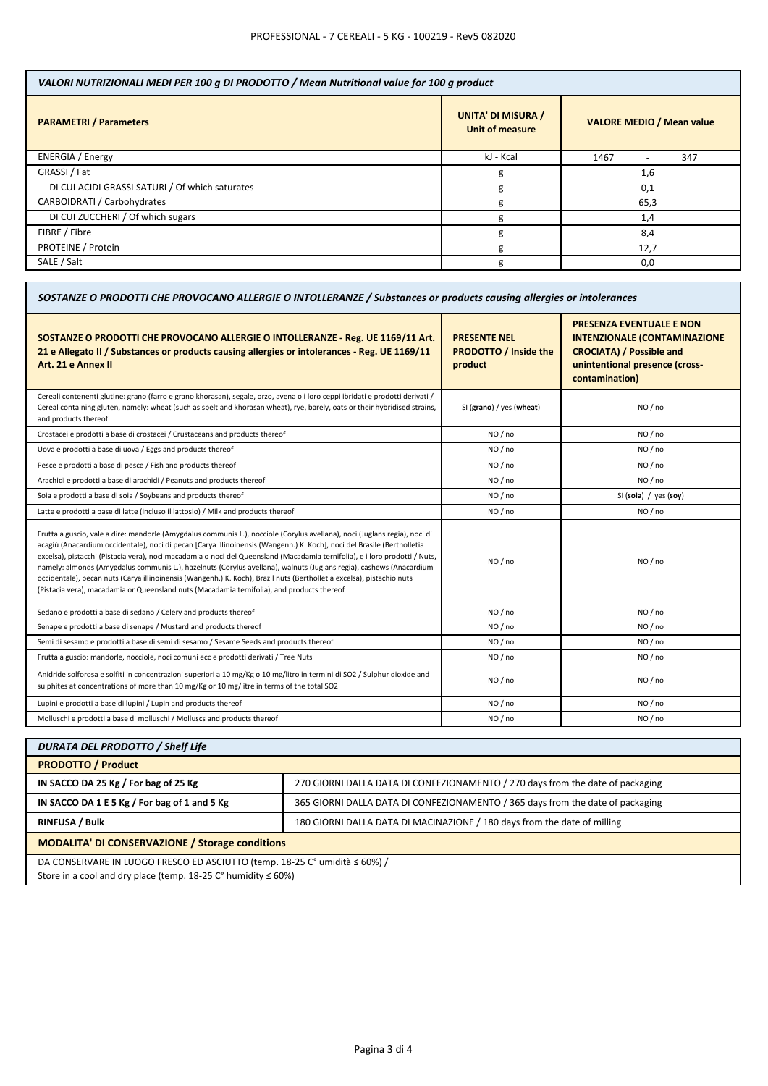| VALORI NUTRIZIONALI MEDI PER 100 g DI PRODOTTO / Mean Nutritional value for 100 g product |                                              |                                  |  |
|-------------------------------------------------------------------------------------------|----------------------------------------------|----------------------------------|--|
| <b>PARAMETRI / Parameters</b>                                                             | <b>UNITA' DI MISURA /</b><br>Unit of measure | <b>VALORE MEDIO / Mean value</b> |  |
| <b>ENERGIA</b> / Energy                                                                   | kJ - Kcal                                    | 1467<br>347                      |  |
| GRASSI / Fat                                                                              | g                                            | 1,6                              |  |
| DI CUI ACIDI GRASSI SATURI / Of which saturates                                           | g                                            | 0,1                              |  |
| CARBOIDRATI / Carbohydrates                                                               | g                                            | 65,3                             |  |
| DI CUI ZUCCHERI / Of which sugars                                                         | g                                            | 1,4                              |  |
| FIBRE / Fibre                                                                             | g                                            | 8,4                              |  |
| PROTEINE / Protein                                                                        | g                                            | 12,7                             |  |
| SALE / Salt                                                                               | g                                            | 0,0                              |  |

| SOSTANZE O PRODOTTI CHE PROVOCANO ALLERGIE O INTOLLERANZE / Substances or products causing allergies or intolerances                                                                                                                                                                                                                                                                                                                                                                                                                                                                                                                                                                                                               |                                                                |                                                                                                                                                               |  |
|------------------------------------------------------------------------------------------------------------------------------------------------------------------------------------------------------------------------------------------------------------------------------------------------------------------------------------------------------------------------------------------------------------------------------------------------------------------------------------------------------------------------------------------------------------------------------------------------------------------------------------------------------------------------------------------------------------------------------------|----------------------------------------------------------------|---------------------------------------------------------------------------------------------------------------------------------------------------------------|--|
| SOSTANZE O PRODOTTI CHE PROVOCANO ALLERGIE O INTOLLERANZE - Reg. UE 1169/11 Art.<br>21 e Allegato II / Substances or products causing allergies or intolerances - Reg. UE 1169/11<br>Art. 21 e Annex II                                                                                                                                                                                                                                                                                                                                                                                                                                                                                                                            | <b>PRESENTE NEL</b><br><b>PRODOTTO / Inside the</b><br>product | <b>PRESENZA EVENTUALE E NON</b><br><b>INTENZIONALE (CONTAMINAZIONE</b><br><b>CROCIATA) / Possible and</b><br>unintentional presence (cross-<br>contamination) |  |
| Cereali contenenti glutine: grano (farro e grano khorasan), segale, orzo, avena o i loro ceppi ibridati e prodotti derivati /<br>Cereal containing gluten, namely: wheat (such as spelt and khorasan wheat), rye, barely, oats or their hybridised strains,<br>and products thereof                                                                                                                                                                                                                                                                                                                                                                                                                                                | SI (grano) / yes (wheat)                                       | NO / no                                                                                                                                                       |  |
| Crostacei e prodotti a base di crostacei / Crustaceans and products thereof                                                                                                                                                                                                                                                                                                                                                                                                                                                                                                                                                                                                                                                        | NO / no                                                        | NO / no                                                                                                                                                       |  |
| Uova e prodotti a base di uova / Eggs and products thereof                                                                                                                                                                                                                                                                                                                                                                                                                                                                                                                                                                                                                                                                         | NO/no                                                          | NO / no                                                                                                                                                       |  |
| Pesce e prodotti a base di pesce / Fish and products thereof                                                                                                                                                                                                                                                                                                                                                                                                                                                                                                                                                                                                                                                                       | NO / no                                                        | NO / no                                                                                                                                                       |  |
| Arachidi e prodotti a base di arachidi / Peanuts and products thereof                                                                                                                                                                                                                                                                                                                                                                                                                                                                                                                                                                                                                                                              | NO / no                                                        | NO / no                                                                                                                                                       |  |
| Soia e prodotti a base di soia / Soybeans and products thereof                                                                                                                                                                                                                                                                                                                                                                                                                                                                                                                                                                                                                                                                     | NO/no                                                          | SI (soia) / yes (soy)                                                                                                                                         |  |
| Latte e prodotti a base di latte (incluso il lattosio) / Milk and products thereof                                                                                                                                                                                                                                                                                                                                                                                                                                                                                                                                                                                                                                                 | NO / no                                                        | NO / no                                                                                                                                                       |  |
| Frutta a guscio, vale a dire: mandorle (Amygdalus communis L.), nocciole (Corylus avellana), noci (Juglans regia), noci di<br>acagiù (Anacardium occidentale), noci di pecan [Carya illinoinensis (Wangenh.) K. Koch], noci del Brasile (Bertholletia<br>excelsa), pistacchi (Pistacia vera), noci macadamia o noci del Queensland (Macadamia ternifolia), e i loro prodotti / Nuts,<br>namely: almonds (Amygdalus communis L.), hazelnuts (Corylus avellana), walnuts (Juglans regia), cashews (Anacardium<br>occidentale), pecan nuts (Carya illinoinensis (Wangenh.) K. Koch), Brazil nuts (Bertholletia excelsa), pistachio nuts<br>(Pistacia vera), macadamia or Queensland nuts (Macadamia ternifolia), and products thereof | NO / no                                                        | NO / no                                                                                                                                                       |  |
| Sedano e prodotti a base di sedano / Celery and products thereof                                                                                                                                                                                                                                                                                                                                                                                                                                                                                                                                                                                                                                                                   | NO / no                                                        | NO / no                                                                                                                                                       |  |
| Senape e prodotti a base di senape / Mustard and products thereof                                                                                                                                                                                                                                                                                                                                                                                                                                                                                                                                                                                                                                                                  | NO / no                                                        | NO / no                                                                                                                                                       |  |
| Semi di sesamo e prodotti a base di semi di sesamo / Sesame Seeds and products thereof                                                                                                                                                                                                                                                                                                                                                                                                                                                                                                                                                                                                                                             | NO/no                                                          | NO / no                                                                                                                                                       |  |
| Frutta a guscio: mandorle, nocciole, noci comuni ecc e prodotti derivati / Tree Nuts                                                                                                                                                                                                                                                                                                                                                                                                                                                                                                                                                                                                                                               | NO/no                                                          | NO/no                                                                                                                                                         |  |
| Anidride solforosa e solfiti in concentrazioni superiori a 10 mg/Kg o 10 mg/litro in termini di SO2 / Sulphur dioxide and<br>sulphites at concentrations of more than 10 mg/Kg or 10 mg/litre in terms of the total SO2                                                                                                                                                                                                                                                                                                                                                                                                                                                                                                            | NO / no                                                        | NO / no                                                                                                                                                       |  |
| Lupini e prodotti a base di lupini / Lupin and products thereof                                                                                                                                                                                                                                                                                                                                                                                                                                                                                                                                                                                                                                                                    | NO / no                                                        | NO / no                                                                                                                                                       |  |
| Molluschi e prodotti a base di molluschi / Molluscs and products thereof                                                                                                                                                                                                                                                                                                                                                                                                                                                                                                                                                                                                                                                           | NO / no                                                        | NO / no                                                                                                                                                       |  |

| <b>DURATA DEL PRODOTTO / Shelf Life</b>                                                                                                                     |                                                                                |  |
|-------------------------------------------------------------------------------------------------------------------------------------------------------------|--------------------------------------------------------------------------------|--|
| <b>PRODOTTO / Product</b>                                                                                                                                   |                                                                                |  |
| IN SACCO DA 25 Kg / For bag of 25 Kg                                                                                                                        | 270 GIORNI DALLA DATA DI CONFEZIONAMENTO / 270 days from the date of packaging |  |
| IN SACCO DA 1 E 5 Kg / For bag of 1 and 5 Kg                                                                                                                | 365 GIORNI DALLA DATA DI CONFEZIONAMENTO / 365 days from the date of packaging |  |
| <b>RINFUSA / Bulk</b>                                                                                                                                       | 180 GIORNI DALLA DATA DI MACINAZIONE / 180 days from the date of milling       |  |
| <b>MODALITA' DI CONSERVAZIONE / Storage conditions</b>                                                                                                      |                                                                                |  |
| DA CONSERVARE IN LUOGO FRESCO ED ASCIUTTO (temp. 18-25 C° umidità ≤ 60%) /<br>Store in a cool and dry place (temp. 18-25 $C^{\circ}$ humidity $\leq 60\%$ ) |                                                                                |  |